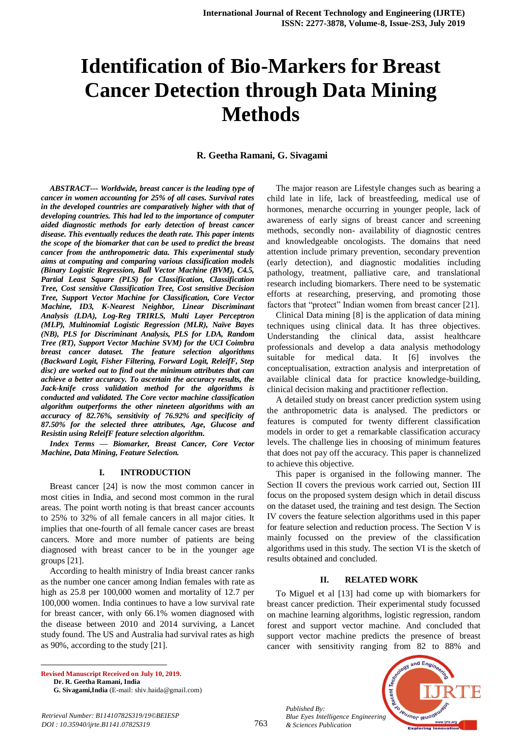# **Identification of Bio-Markers for Breast Cancer Detection through Data Mining Methods**

#### **R. Geetha Ramani, G. Sivagami**

*ABSTRACT--- Worldwide, breast cancer is the leading type of cancer in women accounting for 25% of all cases. Survival rates in the developed countries are comparatively higher with that of developing countries. This had led to the importance of computer aided diagnostic methods for early detection of breast cancer disease. This eventually reduces the death rate. This paper intents the scope of the biomarker that can be used to predict the breast cancer from the anthropometric data. This experimental study aims at computing and comparing various classification models (Binary Logistic Regression, Ball Vector Machine (BVM), C4.5, Partial Least Square (PLS) for Classification, Classification Tree, Cost sensitive Classification Tree, Cost sensitive Decision Tree, Support Vector Machine for Classification, Core Vector Machine, ID3, K-Nearest Neighbor, Linear Discriminant Analysis (LDA), Log-Reg TRIRLS, Multi Layer Perceptron (MLP), Multinomial Logistic Regression (MLR), Naïve Bayes (NB), PLS for Discriminant Analysis, PLS for LDA, Random Tree (RT), Support Vector Machine SVM) for the UCI Coimbra breast cancer dataset. The feature selection algorithms (Backward Logit, Fisher Filtering, Forward Logit, ReleifF, Step disc) are worked out to find out the minimum attributes that can achieve a better accuracy. To ascertain the accuracy results, the Jack-knife cross validation method for the algorithms is conducted and validated. The Core vector machine classification algorithm outperforms the other nineteen algorithms with an accuracy of 82.76%, sensitivity of 76.92% and specificity of 87.50% for the selected three attributes, Age, Glucose and Resistin using ReleifF feature selection algorithm.*

*Index Terms — Biomarker, Breast Cancer, Core Vector Machine, Data Mining, Feature Selection.*

#### **I. INTRODUCTION**

Breast cancer [24] is now the most common cancer in most cities in India, and second most common in the rural areas. The point worth noting is that breast cancer accounts to 25% to 32% of all female cancers in all major cities. It implies that one-fourth of all female cancer cases are breast cancers. More and more number of patients are being diagnosed with breast cancer to be in the younger age groups [21].

According to health ministry of India breast cancer ranks as the number one cancer among Indian females with rate as high as 25.8 per 100,000 women and mortality of 12.7 per 100,000 women. India continues to have a low survival rate for breast cancer, with only 66.1% women diagnosed with the disease between 2010 and 2014 surviving, a Lancet study found. The US and Australia had survival rates as high as 90%, according to the study [21].

**Revised Manuscript Received on July 10, 2019. Dr. R. Geetha Ramani, India**

1

**G. Sivagami,India** (E-mail: shiv.haida@gmail.com)

The major reason are Lifestyle changes such as bearing a child late in life, lack of breastfeeding, medical use of hormones, menarche occurring in younger people, lack of awareness of early signs of breast cancer and screening methods, secondly non- availability of diagnostic centres and knowledgeable oncologists. The domains that need attention include primary prevention, secondary prevention (early detection), and diagnostic modalities including pathology, treatment, palliative care, and translational research including biomarkers. There need to be systematic efforts at researching, preserving, and promoting those factors that "protect" Indian women from breast cancer [21].

Clinical Data mining [8] is the application of data mining techniques using clinical data. It has three objectives. Understanding the clinical data, assist healthcare professionals and develop a data analysis methodology suitable for medical data. It [6] involves the conceptualisation, extraction analysis and interpretation of available clinical data for practice knowledge-building, clinical decision making and practitioner reflection.

A detailed study on breast cancer prediction system using the anthropometric data is analysed. The predictors or features is computed for twenty different classification models in order to get a remarkable classification accuracy levels. The challenge lies in choosing of minimum features that does not pay off the accuracy. This paper is channelized to achieve this objective.

This paper is organised in the following manner. The Section II covers the previous work carried out, Section III focus on the proposed system design which in detail discuss on the dataset used, the training and test design. The Section IV covers the feature selection algorithms used in this paper for feature selection and reduction process. The Section V is mainly focussed on the preview of the classification algorithms used in this study. The section VI is the sketch of results obtained and concluded.

#### **II. RELATED WORK**

To Miguel et al [13] had come up with biomarkers for breast cancer prediction. Their experimental study focussed on machine learning algorithms, logistic regression, random forest and support vector machine. And concluded that support vector machine predicts the presence of breast cancer with sensitivity ranging from 82 to 88% and



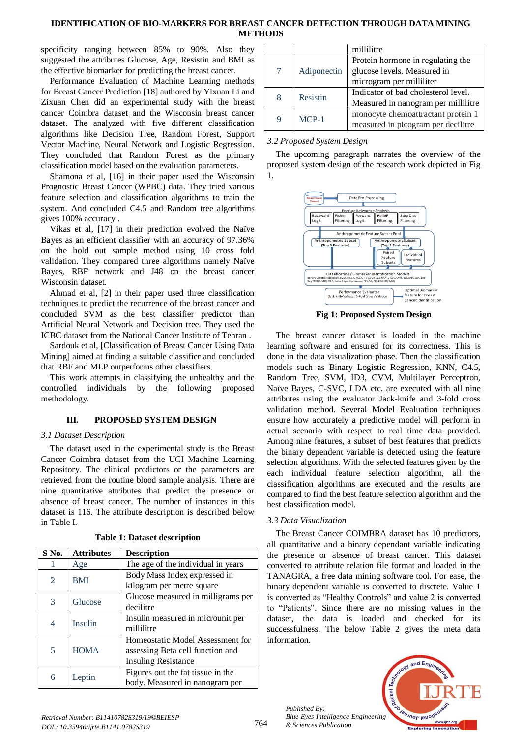## **IDENTIFICATION OF BIO-MARKERS FOR BREAST CANCER DETECTION THROUGH DATA MINING METHODS**

specificity ranging between 85% to 90%. Also they suggested the attributes Glucose, Age, Resistin and BMI as the effective biomarker for predicting the breast cancer.

Performance Evaluation of Machine Learning methods for Breast Cancer Prediction [18] authored by Yixuan Li and Zixuan Chen did an experimental study with the breast cancer Coimbra dataset and the Wisconsin breast cancer dataset. The analyzed with five different classification algorithms like Decision Tree, Random Forest, Support Vector Machine, Neural Network and Logistic Regression. They concluded that Random Forest as the primary classification model based on the evaluation parameters.

Shamona et al, [16] in their paper used the Wisconsin Prognostic Breast Cancer (WPBC) data. They tried various feature selection and classification algorithms to train the system. And concluded C4.5 and Random tree algorithms gives 100% accuracy .

Vikas et al, [17] in their prediction evolved the Naïve Bayes as an efficient classifier with an accuracy of 97.36% on the hold out sample method using 10 cross fold validation. They compared three algorithms namely Naïve Bayes, RBF network and J48 on the breast cancer Wisconsin dataset.

Ahmad et al, [2] in their paper used three classification techniques to predict the recurrence of the breast cancer and concluded SVM as the best classifier predictor than Artificial Neural Network and Decision tree. They used the ICBC dataset from the National Cancer Institute of Tehran .

Sardouk et al, [Classification of Breast Cancer Using Data Mining] aimed at finding a suitable classifier and concluded that RBF and MLP outperforms other classifiers.

This work attempts in classifying the unhealthy and the controlled individuals by the following proposed methodology.

# **III. PROPOSED SYSTEM DESIGN**

## *3.1 Dataset Description*

The dataset used in the experimental study is the Breast Cancer Coimbra dataset from the UCI Machine Learning Repository. The clinical predictors or the parameters are retrieved from the routine blood sample analysis. There are nine quantitative attributes that predict the presence or absence of breast cancer. The number of instances in this dataset is 116. The attribute description is described below in Table I.

| S No.          | <b>Attributes</b> | <b>Description</b>                 |
|----------------|-------------------|------------------------------------|
|                | Age               | The age of the individual in years |
| 2              | <b>BMI</b>        | Body Mass Index expressed in       |
|                |                   | kilogram per metre square          |
| 3              | Glucose           | Glucose measured in milligrams per |
|                |                   | decilitre                          |
| $\overline{4}$ | Insulin           | Insulin measured in microunit per  |
|                |                   | millilitre                         |
|                |                   | Homeostatic Model Assessment for   |
| $\overline{5}$ | <b>HOMA</b>       | assessing Beta cell function and   |
|                |                   | <b>Insuling Resistance</b>         |
| 6              | Leptin            | Figures out the fat tissue in the  |
|                |                   | body. Measured in nanogram per     |

**Table 1: Dataset description**

|        |             | millilitre                          |
|--------|-------------|-------------------------------------|
|        |             | Protein hormone in regulating the   |
| $\tau$ | Adiponectin | glucose levels. Measured in         |
|        |             | microgram per milliliter            |
| 8      | Resistin    | Indicator of bad cholesterol level. |
|        |             | Measured in nanogram per millilitre |
| 9      | $MCP-1$     | monocyte chemoattractant protein 1  |
|        |             | measured in picogram per decilitre  |

## *3.2 Proposed System Design*

The upcoming paragraph narrates the overview of the proposed system design of the research work depicted in Fig 1.



**Fig 1: Proposed System Design**

The breast cancer dataset is loaded in the machine learning software and ensured for its correctness. This is done in the data visualization phase. Then the classification models such as Binary Logistic Regression, KNN, C4.5, Random Tree, SVM, ID3, CVM, Multilayer Perceptron, Naïve Bayes, C-SVC, LDA etc. are executed with all nine attributes using the evaluator Jack-knife and 3-fold cross validation method. Several Model Evaluation techniques ensure how accurately a predictive model will perform in actual scenario with respect to real time data provided. Among nine features, a subset of best features that predicts the binary dependent variable is detected using the feature selection algorithms. With the selected features given by the each individual feature selection algorithm, all the classification algorithms are executed and the results are compared to find the best feature selection algorithm and the best classification model.

## *3.3 Data Visualization*

*Published By:*

*& Sciences Publication* 

The Breast Cancer COIMBRA dataset has 10 predictors, all quantitative and a binary dependant variable indicating the presence or absence of breast cancer. This dataset converted to attribute relation file format and loaded in the TANAGRA, a free data mining software tool. For ease, the binary dependent variable is converted to discrete. Value 1 is converted as "Healthy Controls" and value 2 is converted to "Patients". Since there are no missing values in the dataset, the data is loaded and checked for its successfulness. The below Table 2 gives the meta data information.

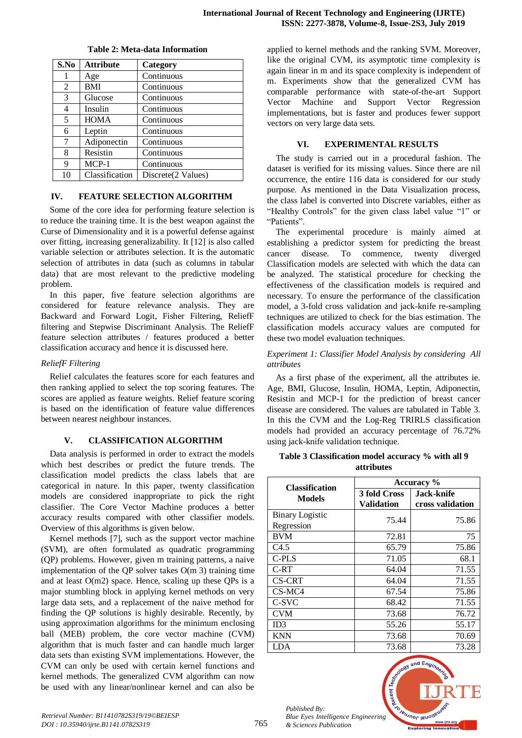| S.No | <b>Attribute</b> | Category           |
|------|------------------|--------------------|
|      | Age              | Continuous         |
| 2    | BMI              | Continuous         |
| 3    | Glucose          | Continuous         |
| 4    | Insulin          | Continuous         |
| 5    | <b>HOMA</b>      | Continuous         |
| 6    | Leptin           | Continuous         |
| 7    | Adiponectin      | Continuous         |
| 8    | Resistin         | Continuous         |
| 9    | $MCP-1$          | Continuous         |
| 10   | Classification   | Discrete(2 Values) |

#### **Table 2: Meta-data Information**

#### **IV. FEATURE SELECTION ALGORITHM**

Some of the core idea for performing feature selection is to reduce the training time. It is the best weapon against the Curse of Dimensionality and it is a powerful defense against over fitting, increasing generalizability. It [12] is also called variable selection or attributes selection. It is the automatic selection of attributes in data (such as columns in tabular data) that are most relevant to the predictive modeling problem.

In this paper, five feature selection algorithms are considered for feature relevance analysis. They are Backward and Forward Logit, Fisher Filtering, ReliefF filtering and Stepwise Discriminant Analysis. The ReliefF feature selection attributes / features produced a better classification accuracy and hence it is discussed here.

#### *ReliefF Filtering*

Relief calculates the features score for each features and then ranking applied to select the top scoring features. The scores are applied as feature weights. Relief feature scoring is based on the identification of feature value differences between nearest neighbour instances.

#### **V. CLASSIFICATION ALGORITHM**

Data analysis is performed in order to extract the models which best describes or predict the future trends. The classification model predicts the class labels that are categorical in nature. In this paper, twenty classification models are considered inappropriate to pick the right classifier. The Core Vector Machine produces a better accuracy results compared with other classifier models. Overview of this algorithms is given below.

Kernel methods [7], such as the support vector machine (SVM), are often formulated as quadratic programming (QP) problems. However, given m training patterns, a naive implementation of the QP solver takes O(m 3) training time and at least O(m2) space. Hence, scaling up these QPs is a major stumbling block in applying kernel methods on very large data sets, and a replacement of the naive method for finding the QP solutions is highly desirable. Recently, by using approximation algorithms for the minimum enclosing ball (MEB) problem, the core vector machine (CVM) algorithm that is much faster and can handle much larger data sets than existing SVM implementations. However, the CVM can only be used with certain kernel functions and kernel methods. The generalized CVM algorithm can now be used with any linear/nonlinear kernel and can also be

applied to kernel methods and the ranking SVM. Moreover, like the original CVM, its asymptotic time complexity is again linear in m and its space complexity is independent of m. Experiments show that the generalized CVM has comparable performance with state-of-the-art Support Vector Machine and Support Vector Regression implementations, but is faster and produces fewer support vectors on very large data sets.

#### **VI. EXPERIMENTAL RESULTS**

The study is carried out in a procedural fashion. The dataset is verified for its missing values. Since there are nil occurrence, the entire 116 data is considered for our study purpose. As mentioned in the Data Visualization process, the class label is converted into Discrete variables, either as "Healthy Controls" for the given class label value "1" or "Patients".

The experimental procedure is mainly aimed at establishing a predictor system for predicting the breast cancer disease. To commence, twenty diverged Classification models are selected with which the data can be analyzed. The statistical procedure for checking the effectiveness of the classification models is required and necessary. To ensure the performance of the classification model, a 3-fold cross validation and jack-knife re-sampling techniques are utilized to check for the bias estimation. The classification models accuracy values are computed for these two model evaluation techniques.

#### *Experiment 1: Classifier Model Analysis by considering All attributes*

As a first phase of the experiment, all the attributes ie. Age, BMI, Glucose, Insulin, HOMA, Leptin, Adiponectin, Resistin and MCP-1 for the prediction of breast cancer disease are considered. The values are tabulated in Table 3. In this the CVM and the Log-Reg TRIRLS classification models had provided an accuracy percentage of 76.72% using jack-knife validation technique.

#### **Table 3 Classification model accuracy % with all 9 attributes**

|                                      | Accuracy %                        |                                |  |  |
|--------------------------------------|-----------------------------------|--------------------------------|--|--|
| <b>Classification</b><br>Models      | 3 fold Cross<br><b>Validation</b> | Jack-knife<br>cross validation |  |  |
| <b>Binary Logistic</b><br>Regression | 75.44                             | 75.86                          |  |  |
| <b>BVM</b>                           | 72.81                             | 75                             |  |  |
| C4.5                                 | 65.79                             | 75.86                          |  |  |
| $C-PLS$                              | 71.05                             | 68.1                           |  |  |
| C-RT                                 | 64.04                             | 71.55                          |  |  |
| <b>CS-CRT</b>                        | 64.04                             | 71.55                          |  |  |
| $CS-MC4$                             | 67.54                             | 75.86                          |  |  |
| C-SVC                                | 68.42                             | 71.55                          |  |  |
| <b>CVM</b>                           | 73.68                             | 76.72                          |  |  |
| ID3                                  | 55.26                             | 55.17                          |  |  |
| <b>KNN</b>                           | 73.68                             | 70.69                          |  |  |
| LDA                                  | 73.68                             | 73.28                          |  |  |

*Published By: Blue Eyes Intelligence Engineering & Sciences Publication* 

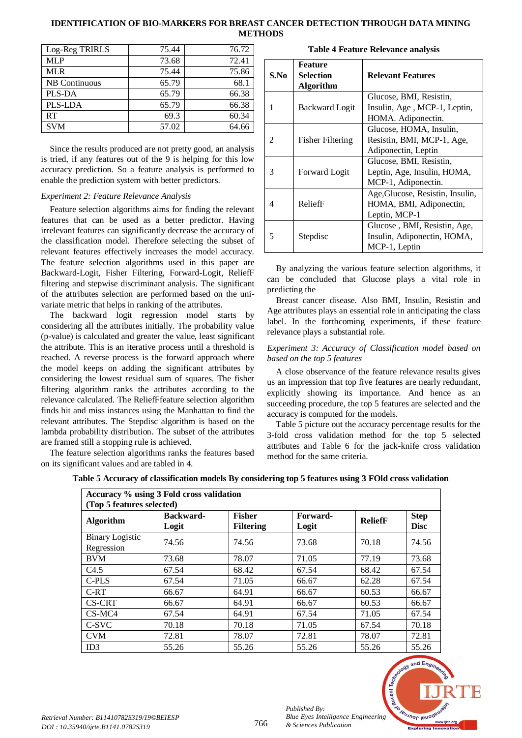## **IDENTIFICATION OF BIO-MARKERS FOR BREAST CANCER DETECTION THROUGH DATA MINING METHODS**

| Log-Reg TRIRLS       | 75.44 | 76.72 |
|----------------------|-------|-------|
| <b>MLP</b>           | 73.68 | 72.41 |
| <b>MLR</b>           | 75.44 | 75.86 |
| <b>NB</b> Continuous | 65.79 | 68.1  |
| PLS-DA               | 65.79 | 66.38 |
| PLS-LDA              | 65.79 | 66.38 |
| RT                   | 69.3  | 60.34 |
| <b>SVM</b>           | 57.02 | 64.66 |

Since the results produced are not pretty good, an analysis is tried, if any features out of the 9 is helping for this low accuracy prediction. So a feature analysis is performed to enable the prediction system with better predictors.

#### *Experiment 2: Feature Relevance Analysis*

Feature selection algorithms aims for finding the relevant features that can be used as a better predictor. Having irrelevant features can significantly decrease the accuracy of the classification model. Therefore selecting the subset of relevant features effectively increases the model accuracy. The feature selection algorithms used in this paper are Backward-Logit, Fisher Filtering, Forward-Logit, ReliefF filtering and stepwise discriminant analysis. The significant of the attributes selection are performed based on the univariate metric that helps in ranking of the attributes.

The backward logit regression model starts by considering all the attributes initially. The probability value (p-value) is calculated and greater the value, least significant the attribute. This is an iterative process until a threshold is reached. A reverse process is the forward approach where the model keeps on adding the significant attributes by considering the lowest residual sum of squares. The fisher filtering algorithm ranks the attributes according to the relevance calculated. The ReliefFfeature selection algorithm finds hit and miss instances using the Manhattan to find the relevant attributes. The Stepdisc algorithm is based on the lambda probability distribution. The subset of the attributes are framed still a stopping rule is achieved.

The feature selection algorithms ranks the features based on its significant values and are tabled in 4.

|      | Feature               |                                  |
|------|-----------------------|----------------------------------|
| S.No | Selection             | <b>Relevant Features</b>         |
|      | <b>Algorithm</b>      |                                  |
|      |                       | Glucose, BMI, Resistin,          |
| 1    | <b>Backward Logit</b> | Insulin, Age, MCP-1, Leptin,     |
|      |                       | HOMA. Adiponectin.               |
|      |                       | Glucose, HOMA, Insulin,          |
| 2    | Fisher Filtering      | Resistin, BMI, MCP-1, Age,       |
|      |                       | Adiponectin, Leptin              |
|      |                       | Glucose, BMI, Resistin,          |
| 3    | Forward Logit         | Leptin, Age, Insulin, HOMA,      |
|      |                       | MCP-1, Adiponectin.              |
|      |                       | Age, Glucose, Resistin, Insulin, |
| 4    | ReliefF               | HOMA, BMI, Adiponectin,          |
|      |                       | Leptin, MCP-1                    |
|      |                       | Glucose, BMI, Resistin, Age,     |
| 5    | Stepdisc              | Insulin, Adiponectin, HOMA,      |
|      |                       | MCP-1, Leptin                    |

**Table 4 Feature Relevance analysis** 

By analyzing the various feature selection algorithms, it can be concluded that Glucose plays a vital role in predicting the

Breast cancer disease. Also BMI, Insulin, Resistin and Age attributes plays an essential role in anticipating the class label. In the forthcoming experiments, if these feature relevance plays a substantial role.

#### *Experiment 3: Accuracy of Classification model based on based on the top 5 features*

A close observance of the feature relevance results gives us an impression that top five features are nearly redundant, explicitly showing its importance. And hence as an succeeding procedure, the top 5 features are selected and the accuracy is computed for the models.

Table 5 picture out the accuracy percentage results for the 3-fold cross validation method for the top 5 selected attributes and Table 6 for the jack-knife cross validation method for the same criteria.

| Accuracy % using 3 Fold cross validation<br>(Top 5 features selected) |                           |                                   |                   |                |                            |
|-----------------------------------------------------------------------|---------------------------|-----------------------------------|-------------------|----------------|----------------------------|
| <b>Algorithm</b>                                                      | <b>Backward-</b><br>Logit | <b>Fisher</b><br><b>Filtering</b> | Forward-<br>Logit | <b>ReliefF</b> | <b>Step</b><br><b>Disc</b> |
| <b>Binary Logistic</b><br>Regression                                  | 74.56                     | 74.56                             | 73.68             | 70.18          | 74.56                      |
| <b>BVM</b>                                                            | 73.68                     | 78.07                             | 71.05             | 77.19          | 73.68                      |
| C4.5                                                                  | 67.54                     | 68.42                             | 67.54             | 68.42          | 67.54                      |
| $C-PLS$                                                               | 67.54                     | 71.05                             | 66.67             | 62.28          | 67.54                      |
| $C-RT$                                                                | 66.67                     | 64.91                             | 66.67             | 60.53          | 66.67                      |
| CS-CRT                                                                | 66.67                     | 64.91                             | 66.67             | 60.53          | 66.67                      |
| $CS-MC4$                                                              | 67.54                     | 64.91                             | 67.54             | 71.05          | 67.54                      |
| C-SVC                                                                 | 70.18                     | 70.18                             | 71.05             | 67.54          | 70.18                      |
| <b>CVM</b>                                                            | 72.81                     | 78.07                             | 72.81             | 78.07          | 72.81                      |
| ID3                                                                   | 55.26                     | 55.26                             | 55.26             | 55.26          | 55.26                      |



*Published By:*

*& Sciences Publication*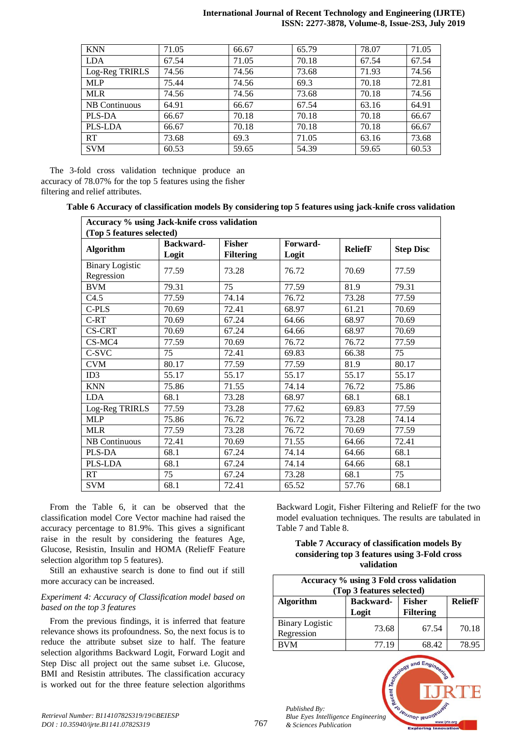#### **International Journal of Recent Technology and Engineering (IJRTE) ISSN: 2277-3878, Volume-8, Issue-2S3, July 2019**

| <b>KNN</b>     | 71.05 | 66.67 | 65.79 | 78.07 | 71.05 |
|----------------|-------|-------|-------|-------|-------|
| <b>LDA</b>     | 67.54 | 71.05 | 70.18 | 67.54 | 67.54 |
| Log-Reg TRIRLS | 74.56 | 74.56 | 73.68 | 71.93 | 74.56 |
| <b>MLP</b>     | 75.44 | 74.56 | 69.3  | 70.18 | 72.81 |
| <b>MLR</b>     | 74.56 | 74.56 | 73.68 | 70.18 | 74.56 |
| NB Continuous  | 64.91 | 66.67 | 67.54 | 63.16 | 64.91 |
| PLS-DA         | 66.67 | 70.18 | 70.18 | 70.18 | 66.67 |
| PLS-LDA        | 66.67 | 70.18 | 70.18 | 70.18 | 66.67 |
| <b>RT</b>      | 73.68 | 69.3  | 71.05 | 63.16 | 73.68 |
| <b>SVM</b>     | 60.53 | 59.65 | 54.39 | 59.65 | 60.53 |

The 3-fold cross validation technique produce an accuracy of 78.07% for the top 5 features using the fisher filtering and relief attributes.

| Table 6 Accuracy of classification models By considering top 5 features using jack-knife cross validation |  |  |  |  |
|-----------------------------------------------------------------------------------------------------------|--|--|--|--|
|-----------------------------------------------------------------------------------------------------------|--|--|--|--|

| Accuracy % using Jack-knife cross validation |                           |                                   |                   |                |                  |  |
|----------------------------------------------|---------------------------|-----------------------------------|-------------------|----------------|------------------|--|
| (Top 5 features selected)                    |                           |                                   |                   |                |                  |  |
| <b>Algorithm</b>                             | <b>Backward-</b><br>Logit | <b>Fisher</b><br><b>Filtering</b> | Forward-<br>Logit | <b>ReliefF</b> | <b>Step Disc</b> |  |
| <b>Binary Logistic</b><br>Regression         | 77.59                     | 73.28                             | 76.72             | 70.69          | 77.59            |  |
| <b>BVM</b>                                   | 79.31                     | 75                                | 77.59             | 81.9           | 79.31            |  |
| C4.5                                         | 77.59                     | 74.14                             | 76.72             | 73.28          | 77.59            |  |
| C-PLS                                        | 70.69                     | 72.41                             | 68.97             | 61.21          | 70.69            |  |
| C-RT                                         | 70.69                     | 67.24                             | 64.66             | 68.97          | 70.69            |  |
| <b>CS-CRT</b>                                | 70.69                     | 67.24                             | 64.66             | 68.97          | 70.69            |  |
| CS-MC4                                       | 77.59                     | 70.69                             | 76.72             | 76.72          | 77.59            |  |
| C-SVC                                        | 75                        | 72.41                             | 69.83             | 66.38          | 75               |  |
| <b>CVM</b>                                   | 80.17                     | 77.59                             | 77.59             | 81.9           | 80.17            |  |
| ID3                                          | 55.17                     | 55.17                             | 55.17             | 55.17          | 55.17            |  |
| <b>KNN</b>                                   | 75.86                     | 71.55                             | 74.14             | 76.72          | 75.86            |  |
| <b>LDA</b>                                   | 68.1                      | 73.28                             | 68.97             | 68.1           | 68.1             |  |
| Log-Reg TRIRLS                               | 77.59                     | 73.28                             | 77.62             | 69.83          | 77.59            |  |
| <b>MLP</b>                                   | 75.86                     | 76.72                             | 76.72             | 73.28          | 74.14            |  |
| <b>MLR</b>                                   | 77.59                     | 73.28                             | 76.72             | 70.69          | 77.59            |  |
| <b>NB</b> Continuous                         | 72.41                     | 70.69                             | 71.55             | 64.66          | 72.41            |  |
| PLS-DA                                       | 68.1                      | 67.24                             | 74.14             | 64.66          | 68.1             |  |
| PLS-LDA                                      | 68.1                      | 67.24                             | 74.14             | 64.66          | 68.1             |  |
| RT                                           | 75                        | 67.24                             | 73.28             | 68.1           | 75               |  |
| <b>SVM</b>                                   | 68.1                      | 72.41                             | 65.52             | 57.76          | 68.1             |  |

From the Table 6, it can be observed that the classification model Core Vector machine had raised the accuracy percentage to 81.9%. This gives a significant raise in the result by considering the features Age, Glucose, Resistin, Insulin and HOMA (ReliefF Feature selection algorithm top 5 features).

Still an exhaustive search is done to find out if still more accuracy can be increased.

#### *Experiment 4: Accuracy of Classification model based on based on the top 3 features*

From the previous findings, it is inferred that feature relevance shows its profoundness. So, the next focus is to reduce the attribute subset size to half. The feature selection algorithms Backward Logit, Forward Logit and Step Disc all project out the same subset i.e. Glucose, BMI and Resistin attributes. The classification accuracy is worked out for the three feature selection algorithms

Backward Logit, Fisher Filtering and ReliefF for the two model evaluation techniques. The results are tabulated in Table 7 and Table 8.

#### **Table 7 Accuracy of classification models By considering top 3 features using 3-Fold cross validation**

| Accuracy % using 3 Fold cross validation<br>(Top 3 features selected)                         |       |       |       |  |  |  |
|-----------------------------------------------------------------------------------------------|-------|-------|-------|--|--|--|
| <b>Fisher</b><br><b>ReliefF</b><br><b>Algorithm</b><br>Backward-<br><b>Filtering</b><br>Logit |       |       |       |  |  |  |
| <b>Binary Logistic</b><br>Regression                                                          | 73.68 | 67.54 | 70.18 |  |  |  |
| <b>BVM</b>                                                                                    | 77.19 | 68.42 | 78.95 |  |  |  |

 $ndF$ 

*Published By: Blue Eyes Intelligence Engineering & Sciences Publication* 

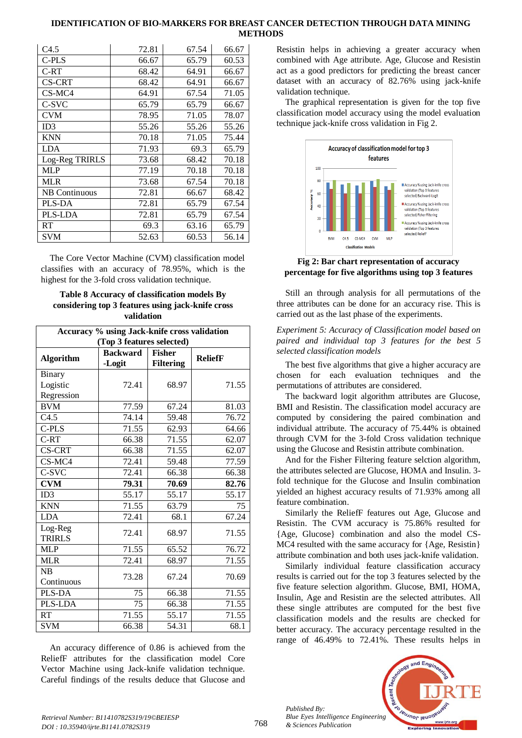#### **IDENTIFICATION OF BIO-MARKERS FOR BREAST CANCER DETECTION THROUGH DATA MINING METHODS**

| C4.5                 | 72.81 | 67.54 | 66.67 |
|----------------------|-------|-------|-------|
| C-PLS                | 66.67 | 65.79 | 60.53 |
| $C-RT$               | 68.42 | 64.91 | 66.67 |
| CS-CRT               | 68.42 | 64.91 | 66.67 |
| $CS-MC4$             | 64.91 | 67.54 | 71.05 |
| C-SVC                | 65.79 | 65.79 | 66.67 |
| <b>CVM</b>           | 78.95 | 71.05 | 78.07 |
| ID3                  | 55.26 | 55.26 | 55.26 |
| <b>KNN</b>           | 70.18 | 71.05 | 75.44 |
| <b>LDA</b>           | 71.93 | 69.3  | 65.79 |
| Log-Reg TRIRLS       | 73.68 | 68.42 | 70.18 |
| <b>MLP</b>           | 77.19 | 70.18 | 70.18 |
| <b>MLR</b>           | 73.68 | 67.54 | 70.18 |
| <b>NB Continuous</b> | 72.81 | 66.67 | 68.42 |
| PLS-DA               | 72.81 | 65.79 | 67.54 |
| <b>PLS-LDA</b>       | 72.81 | 65.79 | 67.54 |
| RT                   | 69.3  | 63.16 | 65.79 |
| <b>SVM</b>           | 52.63 | 60.53 | 56.14 |

The Core Vector Machine (CVM) classification model classifies with an accuracy of 78.95%, which is the highest for the 3-fold cross validation technique.

#### **Table 8 Accuracy of classification models By considering top 3 features using jack-knife cross validation**

| Accuracy % using Jack-knife cross validation |                 |                  |                |  |  |
|----------------------------------------------|-----------------|------------------|----------------|--|--|
| (Top 3 features selected)                    |                 |                  |                |  |  |
| <b>Algorithm</b>                             | <b>Backward</b> | <b>Fisher</b>    | <b>ReliefF</b> |  |  |
|                                              | -Logit          | <b>Filtering</b> |                |  |  |
| Binary                                       |                 |                  |                |  |  |
| Logistic                                     | 72.41           | 68.97            | 71.55          |  |  |
| Regression                                   |                 |                  |                |  |  |
| <b>BVM</b>                                   | 77.59           | 67.24            | 81.03          |  |  |
| C4.5                                         | 74.14           | 59.48            | 76.72          |  |  |
| C-PLS                                        | 71.55           | 62.93            | 64.66          |  |  |
| C-RT                                         | 66.38           | 71.55            | 62.07          |  |  |
| <b>CS-CRT</b>                                | 66.38           | 71.55            | 62.07          |  |  |
| CS-MC4                                       | 72.41           | 59.48            | 77.59          |  |  |
| C-SVC                                        | 72.41           | 66.38            | 66.38          |  |  |
| <b>CVM</b>                                   | 79.31           | 70.69            | 82.76          |  |  |
| ID3                                          | 55.17           | 55.17            | 55.17          |  |  |
| <b>KNN</b>                                   | 71.55           | 63.79            | 75             |  |  |
| <b>LDA</b>                                   | 72.41           | 68.1             | 67.24          |  |  |
| Log-Reg                                      | 72.41           | 68.97            | 71.55          |  |  |
| <b>TRIRLS</b>                                |                 |                  |                |  |  |
| <b>MLP</b>                                   | 71.55           | 65.52            | 76.72          |  |  |
| <b>MLR</b>                                   | 72.41           | 68.97            | 71.55          |  |  |
| NB                                           | 73.28           | 67.24            | 70.69          |  |  |
| Continuous                                   |                 |                  |                |  |  |
| PLS-DA                                       | 75              | 66.38            | 71.55          |  |  |
| PLS-LDA                                      | 75              | 66.38            | 71.55          |  |  |
| <b>RT</b>                                    | 71.55           | 55.17            | 71.55          |  |  |
| <b>SVM</b>                                   | 66.38           | 54.31            | 68.1           |  |  |

An accuracy difference of 0.86 is achieved from the ReliefF attributes for the classification model Core Vector Machine using Jack-knife validation technique. Careful findings of the results deduce that Glucose and

Resistin helps in achieving a greater accuracy when combined with Age attribute. Age, Glucose and Resistin act as a good predictors for predicting the breast cancer dataset with an accuracy of 82.76% using jack-knife validation technique.

The graphical representation is given for the top five classification model accuracy using the model evaluation technique jack-knife cross validation in Fig 2.



**Fig 2: Bar chart representation of accuracy percentage for five algorithms using top 3 features**

Still an through analysis for all permutations of the three attributes can be done for an accuracy rise. This is carried out as the last phase of the experiments.

## *Experiment 5: Accuracy of Classification model based on paired and individual top 3 features for the best 5 selected classification models*

The best five algorithms that give a higher accuracy are chosen for each evaluation techniques and the permutations of attributes are considered.

The backward logit algorithm attributes are Glucose, BMI and Resistin. The classification model accuracy are computed by considering the paired combination and individual attribute. The accuracy of 75.44% is obtained through CVM for the 3-fold Cross validation technique using the Glucose and Resistin attribute combination.

And for the Fisher Filtering feature selction algorithm, the attributes selected are Glucose, HOMA and Insulin. 3 fold technique for the Glucose and Insulin combination yielded an highest accuracy results of 71.93% among all feature combination.

Similarly the ReliefF features out Age, Glucose and Resistin. The CVM accuracy is 75.86% resulted for {Age, Glucose} combination and also the model CS-MC4 resulted with the same accuracy for {Age, Resistin} attribute combination and both uses jack-knife validation.

Similarly individual feature classification accuracy results is carried out for the top 3 features selected by the five feature selection algorithm. Glucose, BMI, HOMA, Insulin, Age and Resistin are the selected attributes. All these single attributes are computed for the best five classification models and the results are checked for better accuracy. The accuracy percentage resulted in the range of 46.49% to 72.41%. These results helps in

*Published By: Blue Eyes Intelligence Engineering & Sciences Publication*